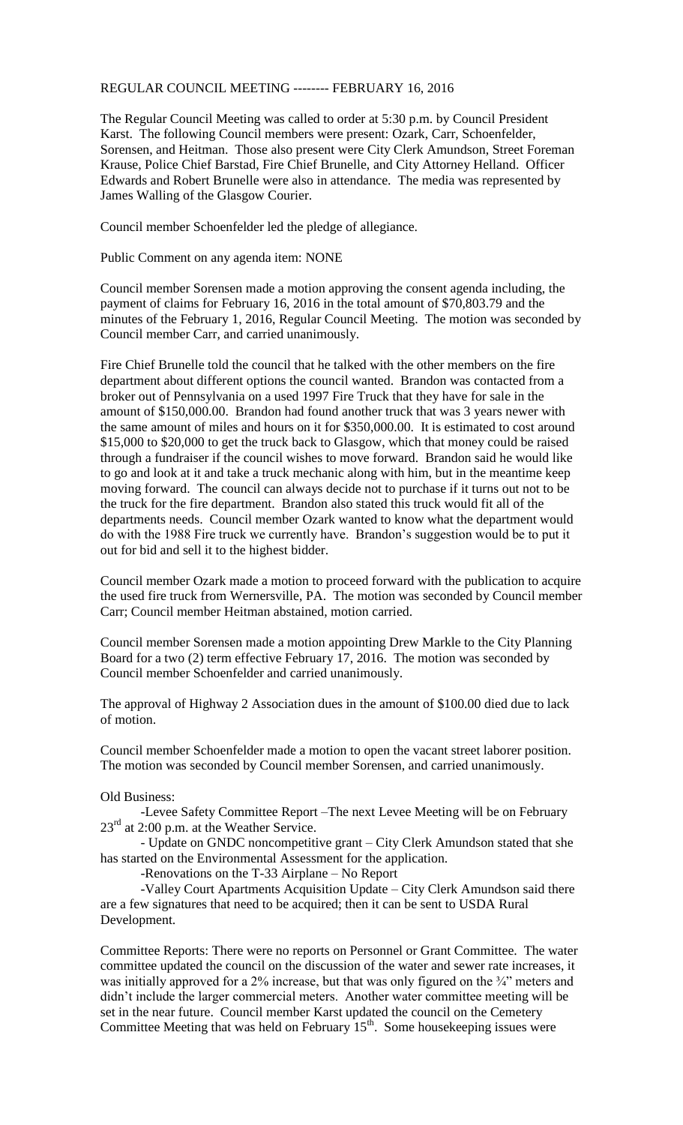## REGULAR COUNCIL MEETING -------- FEBRUARY 16, 2016

The Regular Council Meeting was called to order at 5:30 p.m. by Council President Karst. The following Council members were present: Ozark, Carr, Schoenfelder, Sorensen, and Heitman. Those also present were City Clerk Amundson, Street Foreman Krause, Police Chief Barstad, Fire Chief Brunelle, and City Attorney Helland. Officer Edwards and Robert Brunelle were also in attendance. The media was represented by James Walling of the Glasgow Courier.

Council member Schoenfelder led the pledge of allegiance.

Public Comment on any agenda item: NONE

Council member Sorensen made a motion approving the consent agenda including, the payment of claims for February 16, 2016 in the total amount of \$70,803.79 and the minutes of the February 1, 2016, Regular Council Meeting. The motion was seconded by Council member Carr, and carried unanimously.

Fire Chief Brunelle told the council that he talked with the other members on the fire department about different options the council wanted. Brandon was contacted from a broker out of Pennsylvania on a used 1997 Fire Truck that they have for sale in the amount of \$150,000.00. Brandon had found another truck that was 3 years newer with the same amount of miles and hours on it for \$350,000.00. It is estimated to cost around \$15,000 to \$20,000 to get the truck back to Glasgow, which that money could be raised through a fundraiser if the council wishes to move forward. Brandon said he would like to go and look at it and take a truck mechanic along with him, but in the meantime keep moving forward. The council can always decide not to purchase if it turns out not to be the truck for the fire department. Brandon also stated this truck would fit all of the departments needs. Council member Ozark wanted to know what the department would do with the 1988 Fire truck we currently have. Brandon's suggestion would be to put it out for bid and sell it to the highest bidder.

Council member Ozark made a motion to proceed forward with the publication to acquire the used fire truck from Wernersville, PA. The motion was seconded by Council member Carr; Council member Heitman abstained, motion carried.

Council member Sorensen made a motion appointing Drew Markle to the City Planning Board for a two (2) term effective February 17, 2016. The motion was seconded by Council member Schoenfelder and carried unanimously.

The approval of Highway 2 Association dues in the amount of \$100.00 died due to lack of motion.

Council member Schoenfelder made a motion to open the vacant street laborer position. The motion was seconded by Council member Sorensen, and carried unanimously.

Old Business:

-Levee Safety Committee Report –The next Levee Meeting will be on February  $23<sup>rd</sup>$  at 2:00 p.m. at the Weather Service.

- Update on GNDC noncompetitive grant – City Clerk Amundson stated that she has started on the Environmental Assessment for the application.

-Renovations on the T-33 Airplane – No Report

-Valley Court Apartments Acquisition Update – City Clerk Amundson said there are a few signatures that need to be acquired; then it can be sent to USDA Rural Development.

Committee Reports: There were no reports on Personnel or Grant Committee. The water committee updated the council on the discussion of the water and sewer rate increases, it was initially approved for a 2% increase, but that was only figured on the <sup>3</sup>/4" meters and didn't include the larger commercial meters. Another water committee meeting will be set in the near future. Council member Karst updated the council on the Cemetery Committee Meeting that was held on February 15<sup>th</sup>. Some housekeeping issues were